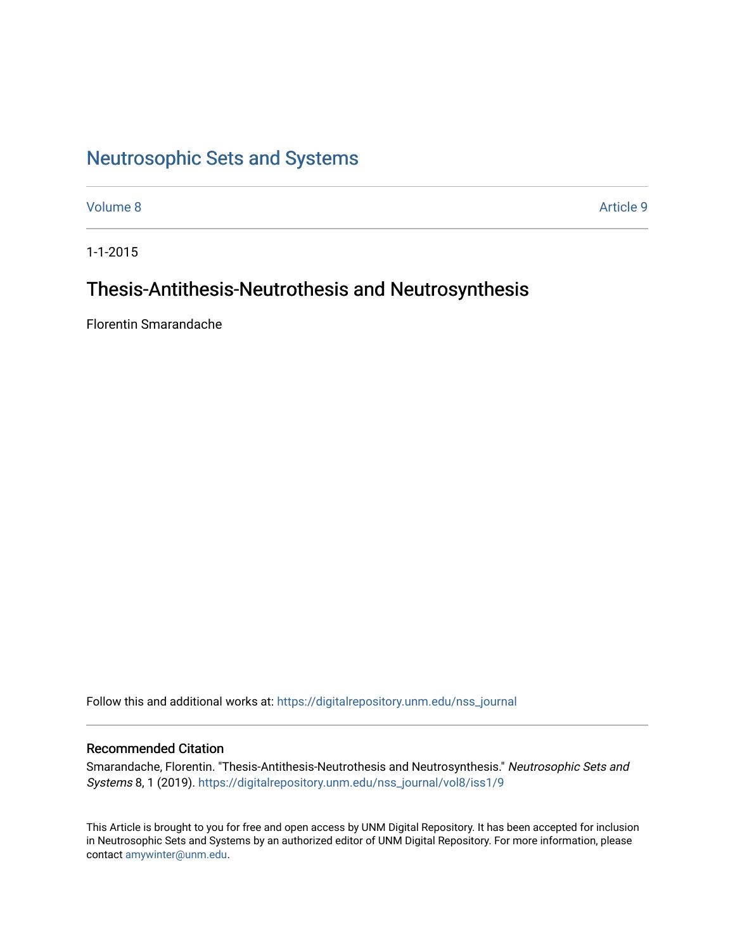## [Neutrosophic Sets and Systems](https://digitalrepository.unm.edu/nss_journal)

[Volume 8](https://digitalrepository.unm.edu/nss_journal/vol8) [Article 9](https://digitalrepository.unm.edu/nss_journal/vol8/iss1/9) 

1-1-2015

## Thesis-Antithesis-Neutrothesis and Neutrosynthesis

Florentin Smarandache

Follow this and additional works at: [https://digitalrepository.unm.edu/nss\\_journal](https://digitalrepository.unm.edu/nss_journal?utm_source=digitalrepository.unm.edu%2Fnss_journal%2Fvol8%2Fiss1%2F9&utm_medium=PDF&utm_campaign=PDFCoverPages) 

### Recommended Citation

Smarandache, Florentin. "Thesis-Antithesis-Neutrothesis and Neutrosynthesis." Neutrosophic Sets and Systems 8, 1 (2019). [https://digitalrepository.unm.edu/nss\\_journal/vol8/iss1/9](https://digitalrepository.unm.edu/nss_journal/vol8/iss1/9?utm_source=digitalrepository.unm.edu%2Fnss_journal%2Fvol8%2Fiss1%2F9&utm_medium=PDF&utm_campaign=PDFCoverPages)

This Article is brought to you for free and open access by UNM Digital Repository. It has been accepted for inclusion in Neutrosophic Sets and Systems by an authorized editor of UNM Digital Repository. For more information, please contact [amywinter@unm.edu](mailto:amywinter@unm.edu).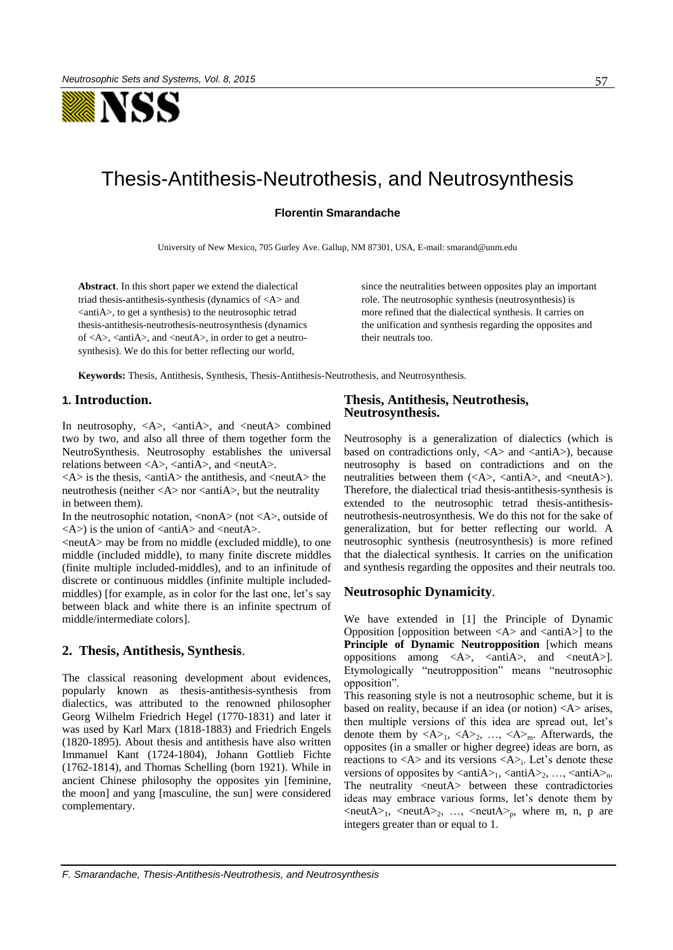

# Thesis-Antithesis-Neutrothesis, and Neutrosynthesis

#### **Florentin Smarandache**

University of New Mexico, 705 Gurley Ave. Gallup, NM 87301, USA, E-mail: smarand@unm.edu

**Abstract**. In this short paper we extend the dialectical triad thesis-antithesis-synthesis (dynamics of <A> and <antiA>, to get a synthesis) to the neutrosophic tetrad thesis-antithesis-neutrothesis-neutrosynthesis (dynamics of  $\langle A \rangle$ ,  $\langle$ anti $A \rangle$ , and  $\langle$ neut $A \rangle$ , in order to get a neutrosynthesis). We do this for better reflecting our world,

since the neutralities between opposites play an important role. The neutrosophic synthesis (neutrosynthesis) is more refined that the dialectical synthesis. It carries on the unification and synthesis regarding the opposites and their neutrals too.

**Keywords:** Thesis, Antithesis, Synthesis, Thesis-Antithesis-Neutrothesis, and Neutrosynthesis.

### **1. Introduction.**

In neutrosophy,  $\langle A \rangle$ ,  $\langle \text{antiA}\rangle$ , and  $\langle \text{neutA}\rangle$  combined two by two, and also all three of them together form the NeutroSynthesis. Neutrosophy establishes the universal relations between  $\langle A \rangle$ ,  $\langle \text{anti}A \rangle$ , and  $\langle \text{neut}A \rangle$ .

 $\langle A \rangle$  is the thesis,  $\langle \text{anti}A \rangle$  the antithesis, and  $\langle \text{neut}A \rangle$  the neutrothesis (neither  $\langle A \rangle$  nor  $\langle$  anti $A \rangle$ , but the neutrality in between them).

In the neutrosophic notation,  $\langle$  nonA $\rangle$  (not  $\langle$ A $\rangle$ , outside of  $\langle A \rangle$  is the union of  $\langle \text{anti}A \rangle$  and  $\langle \text{neut}A \rangle$ .

<neutA> may be from no middle (excluded middle), to one middle (included middle), to many finite discrete middles (finite multiple included-middles), and to an infinitude of discrete or continuous middles (infinite multiple includedmiddles) [for example, as in color for the last one, let's say between black and white there is an infinite spectrum of middle/intermediate colors].

#### **2. Thesis, Antithesis, Synthesis**.

The classical reasoning development about evidences, popularly known as thesis-antithesis-synthesis from dialectics, was attributed to the renowned philosopher Georg Wilhelm Friedrich Hegel (1770-1831) and later it was used by Karl Marx (1818-1883) and Friedrich Engels (1820-1895). About thesis and antithesis have also written Immanuel Kant (1724-1804), Johann Gottlieb Fichte [\(1762-1814\),](http://www.google.com/url?sa=t&rct=j&q=&esrc=s&source=web&cd=5&cad=rja&uact=8&ved=0CEUQFjAE&url=http%3A%2F%2Fwww.csudh.edu%2Fphenom_studies%2Feurop19%2Flect_2.html&ei=hUH7VJnkIM_4yQTE0oKIDQ&usg=AFQjCNFJLl1BLWgFDoYDhOGBEm9eQ9T_CA&sig2=CtaiPdVNJ9ajnL0JDVWnJw) and Thomas Schelling (born 1921). While in ancient Chinese philosophy the opposites yin [feminine, the moon] and yang [masculine, the sun] were considered complementary.

### **Thesis, Antithesis, Neutrothesis, Neutrosynthesis.**

Neutrosophy is a generalization of dialectics (which is based on contradictions only,  $\langle A \rangle$  and  $\langle \text{anti}A \rangle$ , because neutrosophy is based on contradictions and on the neutralities between them  $(\langle A \rangle, \langle \text{anti}A \rangle, \text{ and } \langle \text{neut}A \rangle)$ . Therefore, the dialectical triad thesis-antithesis-synthesis is extended to the neutrosophic tetrad thesis-antithesisneutrothesis-neutrosynthesis. We do this not for the sake of generalization, but for better reflecting our world. A neutrosophic synthesis (neutrosynthesis) is more refined that the dialectical synthesis. It carries on the unification and synthesis regarding the opposites and their neutrals too.

#### **Neutrosophic Dynamicity**.

We have extended in [1] the Principle of Dynamic Opposition [opposition between  $\langle A \rangle$  and  $\langle \text{anti}A \rangle$ ] to the **Principle of Dynamic Neutropposition** [which means oppositions among  $\langle A \rangle$ ,  $\langle \text{anti}A \rangle$ , and  $\langle \text{neut}A \rangle$ . Etymologically "neutropposition" means "neutrosophic opposition".

This reasoning style is not a neutrosophic scheme, but it is based on reality, because if an idea (or notion) <A> arises, then multiple versions of this idea are spread out, let's denote them by  $\langle A \rangle_1$ ,  $\langle A \rangle_2$ , ...,  $\langle A \rangle_m$ . Afterwards, the opposites (in a smaller or higher degree) ideas are born, as reactions to  $\langle A \rangle$  and its versions  $\langle A \rangle$ . Let's denote these versions of opposites by  $\langle \text{antiA}\rangle_1$ ,  $\langle \text{antiA}\rangle_2$ , ...,  $\langle \text{antiA}\rangle_n$ . The neutrality <neutA> between these contradictories ideas may embrace various forms, let's denote them by  $\langle \text{neut} A \rangle_1$ ,  $\langle \text{neut} A \rangle_2$ , ...,  $\langle \text{neut} A \rangle_p$ , where m, n, p are integers greater than or equal to 1.

*F. Smarandache, Thesis-Antithesis-Neutrothesis, and Neutrosynthesis*